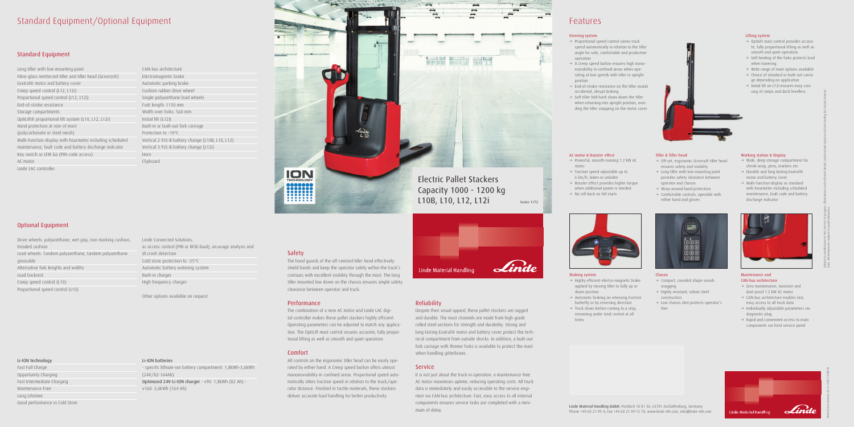## Standard Equipment/Optional Equipment

### Standard Equipment

| Long tiller with low mounting point                                   |
|-----------------------------------------------------------------------|
| Fibre-glass reinforced tiller and tiller head (Grivory <sup>®</sup> ) |
| Exxtral® motor and battery cover                                      |
| Creep speed control (L12, L12i)                                       |
| Proportional speed control (L12, L12i)                                |
| End-of-stroke resistance                                              |
| Storage compartments                                                  |
| OptiLift® proportional lift system (L10, L12, L12i)                   |
| Hand protection at rear of mast                                       |
| (polycarbonate or steel mesh)                                         |
| Multi-function display with hourmeter including scheduled             |
| maintenance, fault code and battery discharge indicator               |
| Key switch or LFM Go (PIN-code access)                                |
| AC motor                                                              |
| Linde LAC controller                                                  |

### Optional Equipment

## Li-ION technology

Fast Full Charge Opportunity Charging Fast Intermediate Charging Maintenance Free Long Lifetime Good performance in Cold Store

- Drive wheels: polyurethane, wet grip, non marking cushion, treaded cushion Load wheels: Tandem polyurethane, tandem polyurethane greasable Alternative fork lengths and widths Load backrest Creep speed control (L10) Proportional speed control (L10)
- Linde Connected Solutions: ac:access control (PIN or RFID Dual), an:usage analysis and dt:crash detection Cold store protection to -35°C Automatic battery watering system Built-in charger High frequency charger

CAN-bus architecture Electromagnetic brake Automatic parking brake Cushion rubber drive wheel Single polyurethane load wheels Fork length: 1150 mm Width over forks: 560 mm Initial lift (L12i) Built-in or built-out fork carriage Protection to -10°C Vertical 2 PzS-B battery change (L10B, L10, L12) Vertical 3 PzS-B battery change (L12i) Horn Clipboard

Other options available on request

### Li-ION batteries

- specific lithium-ion battery compartment: 1,8kWh-3,6kWh (24V/82-164Ah) Optimized 24V-Li-ION charger - v90: 1,8kWh (82 Ah) v160: 3,6kWh (164 Ah)

### Safety

 $\rightarrow$  Highly efficient electro-magnetic brake applied by moving tiller to fully up or

The hand guards of the off-centred tiller head effectively shield hands and keep the operator safely within the truck's contours with excellent visibility through the mast. The long tiller mounted low down on the chassis ensures ample safety clearance between operator and truck.

> $\rightarrow$  Automatic braking on releasing traction butterfly or by reversing direction  $\rightarrow$  Truck slows before coming to a stop, remaining under total control at all

 $\rightarrow$  No roll-back on hill starts

- $\rightarrow$  Powerful, smooth-running 1.2 kW AC motor
- $\rightarrow$  Traction speed adjustable up to 6 km/h, laden or unladen
- $\rightarrow$  Booster effect provides higher torque when additional power is needed

### Performance

- $\rightarrow$  Compact, rounded shape avoids snagging
- $\rightarrow$  Highly resistant, robust steel construction
- $\rightarrow$  Low chassis skirt protects operator's feet

The combination of a new AC motor and Linde LAC digital controller makes these pallet stackers highly efficient. Operating parameters can be adjusted to match any application. The OptiLift mast control assures accurate, fully proportional lifting as well as smooth and quiet operation.

- $\rightarrow$  Wide, deep storage compartment for shrink wrap, pens, markers etc.
- $\rightarrow$  Durable and long lasting Exxtral® motor and battery cover
- $\rightarrow$  Multi-function display as standard with hourmeter including scheduled maintenance, fault code and battery discharge indicator



### Comfort

- $\rightarrow$  Zero maintenance, moisture and dust-proof 1.2 kW AC motor
- $\rightarrow$  CAN-bus architecture enables fast, easy access to all truck data
- $\rightarrow$  Individually adjustable parameters via diagnostic plug
- $\rightarrow$  Rapid and convenient access to main components via front service panel



All controls on the ergonomic tiller head can be easily operated by either hand. A Creep speed button offers utmost manoeuvrability in confined areas. Proportional speed automatically alters traction speed in relation to the truck/operator distance. Finished in tactile materials, these stackers deliver accurate load handling for better productivity.



### Reliability

- → Off-set, ergonomic Grivory® tiller head ensures safety and visibility
- $\rightarrow$  Long tiller with low mounting point
- provides safety clearance between operator and chassis
- $\rightarrow$  Wrap-around hand protection
- $\rightarrow$  Comfortable controls, operable with either hand and gloves



Despite their visual appeal, these pallet stackers are rugged and durable. The mast channels are made from high grade rolled steel sections for strength and durability. Strong and long-lasting Exxtral® motor and battery cover protect the technical compartment from outside shocks. In addition, a built-out fork carriage with thinner forks is available to protect the mast when handling gitterboxes.

### **Service**

- $\rightarrow$  Proportional speed control varies truck speed automatically in relation to the tiller angle for safe, comfortable and productive operation
- $\rightarrow$  A Creep speed button ensures high manoeuvrability in confined areas when operating at low speeds with tiller in upright position
- $\rightarrow$  End-of-stroke resistance on the tiller avoids accidental, abrupt braking
- $\rightarrow$  Soft tiller fold-back slows down the tiller when returning into upright position, avoiding the tiller snapping on the motor cover



It is not just about the truck in operation: a maintenance-free AC motor maximises uptime, reducing operating costs. All truck data is immediately and easily accessible to the service engineer via CAN-bus architecture. Fast, easy access to all internal components ensures service tasks are completed with a minimum of delay.

## Features

Linde Material Handling GmbH, Postfach 10 01 36, 63701 Aschaffenburg, Germany Phone +49.60 21.99-0, Fax +49.60 21.99-15 70, www.linde-mh.com, info@linde-mh.com

Braking system

down position

times

### AC motor & Booster effect

### Chassis

### Working station & Display

### Maintenance and CAN-bus architecture

Subject to modification in the interest of progress. Illustrations and technical details could include options and not binding for actual construc-

tions. All dimensions subject to usual tolerances.

### Lifting system

- $\rightarrow$  OptiLift mast control provides accurate, fully proportional lifting as well as smooth and quiet operation
- $\rightarrow$  Soft landing of the forks protects load when lowering
- $\rightarrow$  Wide range of mast options available  $\rightarrow$  Choice of standard or built-out carria-
- ge depending on application  $\rightarrow$  Initial lift on L12i ensures easy cros-
- sing of ramps and dock levellers

### Tiller & Tiller head

### Steering system